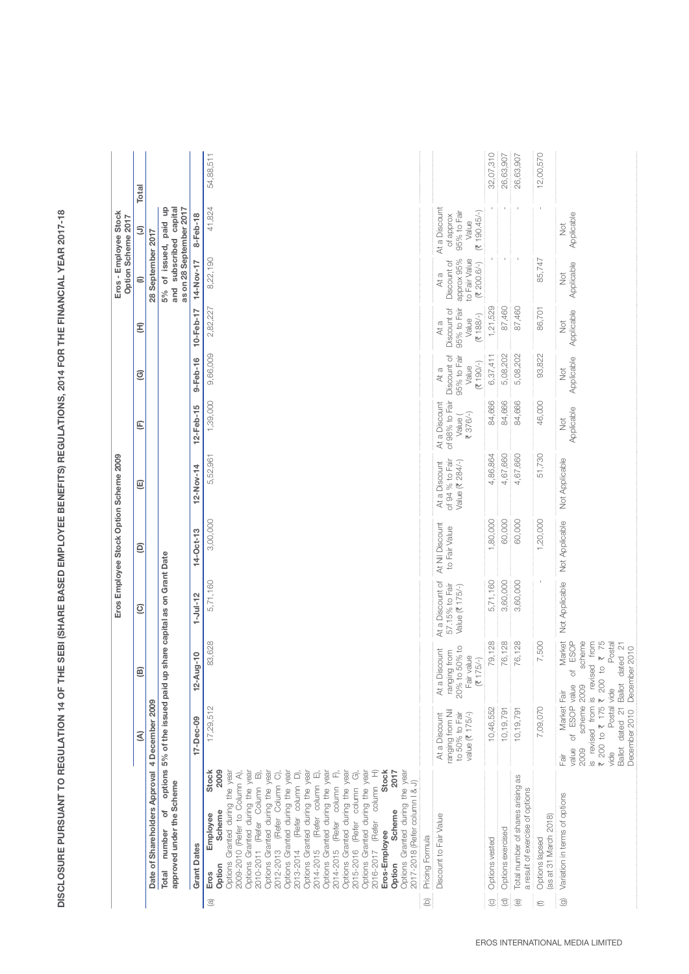DISCLOSURE PURSUANT TO REGULATION 14 OF THE SEBI (SHARE BASED EMPLOYEE BENEFITS) REGULATIONS, 2014 FOR THE FINANCIAL YEAR 2017-18 **DISCLOSURE PURSUANT TO REGULATION 14 OF THE SEBI (SHARE BASED EMPLOYEE BENEFITS) REGULATIONS, 2014 FOR THE FINANCIAL YEAR 2017-18** 

|                           |                                                                                                                                                                                                                                                                                                                                                                                                                                                                                                                                                                                                                                                                                                                                                                     |                                                                                                                                                                                                                                                                                                  |                                                                            |                                                       | Eros Employee Stock Option Scheme 2009 |                                                     |                                                        |                                                           |                                                           | Option Scheme 2017                                                 | Eros - Employee Stock                                             |           |
|---------------------------|---------------------------------------------------------------------------------------------------------------------------------------------------------------------------------------------------------------------------------------------------------------------------------------------------------------------------------------------------------------------------------------------------------------------------------------------------------------------------------------------------------------------------------------------------------------------------------------------------------------------------------------------------------------------------------------------------------------------------------------------------------------------|--------------------------------------------------------------------------------------------------------------------------------------------------------------------------------------------------------------------------------------------------------------------------------------------------|----------------------------------------------------------------------------|-------------------------------------------------------|----------------------------------------|-----------------------------------------------------|--------------------------------------------------------|-----------------------------------------------------------|-----------------------------------------------------------|--------------------------------------------------------------------|-------------------------------------------------------------------|-----------|
|                           |                                                                                                                                                                                                                                                                                                                                                                                                                                                                                                                                                                                                                                                                                                                                                                     | €                                                                                                                                                                                                                                                                                                | ៙                                                                          | ℭ                                                     | ε                                      | 叵                                                   | Ε                                                      | ℭ                                                         | Ξ                                                         | €                                                                  | Ξ                                                                 | Total     |
|                           | Date of Shareholders Approval 4 December 2009                                                                                                                                                                                                                                                                                                                                                                                                                                                                                                                                                                                                                                                                                                                       |                                                                                                                                                                                                                                                                                                  |                                                                            |                                                       |                                        |                                                     |                                                        |                                                           |                                                           | 28 September 2017                                                  |                                                                   |           |
|                           | approved under the Scheme<br>of<br>number<br><b>Total</b>                                                                                                                                                                                                                                                                                                                                                                                                                                                                                                                                                                                                                                                                                                           | options 5% of the issued paid up share capital as on Grant Date                                                                                                                                                                                                                                  |                                                                            |                                                       |                                        |                                                     |                                                        |                                                           |                                                           | and subscribed capital                                             | 5% of issued, paid up<br>as on 28 September 2017                  |           |
|                           | <b>Grant Dates</b>                                                                                                                                                                                                                                                                                                                                                                                                                                                                                                                                                                                                                                                                                                                                                  | 17-Dec-09                                                                                                                                                                                                                                                                                        | $12 - Aug - 10$                                                            | $1 -$ Jul-12                                          | $14-0ct-13$                            | $12 - Nov-14$                                       | $12 - Feb - 15$                                        | $9 - Feb - 16$                                            | $10 - Feb - 17$                                           | 14-Nov-17                                                          | $8-Feb-18$                                                        |           |
| $\widehat{\mathbb{C}}$    | Options Granted during the year<br>Options Granted during the year<br>Options Granted during the year<br>Options Granted during the year<br><b>Stock</b><br>Options Granted during the year<br><b>Stock</b><br>2009<br>2009-2010 (Refer to Column A),<br>Options Granted during the year<br>Options Granted during the year<br>Options Granted during the year<br>Options Granted during the year<br>Î<br>$\vec{p}$<br>2012-2013 (Refer Column C),<br>É<br>2015-2016 (Refer column G),<br>2017<br>2013-2014 (Refer column D),<br>ó<br>2017-2018 (Refer column   & J)<br>(Refer column<br>(Refer column<br>2010-2011 (Refer Column<br>2014-2015 (Refer column<br>Scheme<br>Scheme<br>Employee<br>Eros-Employee<br>2016-2017<br>2014-2015<br>Option<br>Option<br>Eros | 17,29,512                                                                                                                                                                                                                                                                                        | 83,628                                                                     | 5,71,160                                              | 3,00,000                               | 5,52,961                                            | 1,39,000                                               | 9,66,009                                                  | 2,82,227                                                  | 8,22,190                                                           | 41,824                                                            | 54,88,511 |
| $\textcircled{\small{2}}$ | Pricing Formula                                                                                                                                                                                                                                                                                                                                                                                                                                                                                                                                                                                                                                                                                                                                                     |                                                                                                                                                                                                                                                                                                  |                                                                            |                                                       |                                        |                                                     |                                                        |                                                           |                                                           |                                                                    |                                                                   |           |
|                           | Discount to Fair Value                                                                                                                                                                                                                                                                                                                                                                                                                                                                                                                                                                                                                                                                                                                                              | ranging from Nil<br>to 50% to Fair<br>value (₹ 175/-)<br>At a Discount                                                                                                                                                                                                                           | 20% to 50% to<br>At a Discount<br>ranging from<br>Fair value<br>$(3175/-)$ | At a Discount of<br>57.15% to Fair<br>Value (₹ 175/-) | At Nil Discount<br>to Fair Value       | of 94 % to Fair<br>Value (₹ 284/-)<br>At a Discount | of 98% to Fair<br>At a Discount<br>₹ 376/-)<br>Value ( | Discount of<br>95% to Fair<br>$(7190/-)$<br>Value<br>At a | Discount of<br>95% to Fair<br>$(7188/-)$<br>Value<br>At a | approx 95%<br>to Fair Value<br>Discount of<br>(3, 200.6/4)<br>At a | At a Discount<br>(3190.45/4)<br>95% to Fair<br>of approx<br>Value |           |
| $\circledcirc$            | Options vested                                                                                                                                                                                                                                                                                                                                                                                                                                                                                                                                                                                                                                                                                                                                                      | 10,46,552                                                                                                                                                                                                                                                                                        | 79,128                                                                     | 5,71,160                                              | 1,80,000                               | 4,86,864                                            | 84,666                                                 | 6,37,411                                                  | 1,21,529                                                  |                                                                    |                                                                   | 32,07,310 |
| $\widehat{\sigma}$        | Options exercised                                                                                                                                                                                                                                                                                                                                                                                                                                                                                                                                                                                                                                                                                                                                                   | 10, 19, 791                                                                                                                                                                                                                                                                                      | 76,128                                                                     | 3,60,000                                              | 60,000                                 | 4,67,660                                            | 84,666                                                 | 5,08,202                                                  | 87,460                                                    |                                                                    |                                                                   | 26,63,907 |
| $\circledcirc$            | Total number of shares arising as<br>a result of exercise of options                                                                                                                                                                                                                                                                                                                                                                                                                                                                                                                                                                                                                                                                                                | 10, 19, 791                                                                                                                                                                                                                                                                                      | 76,128                                                                     | 3,60,000                                              | 60,000                                 | 4,67,660                                            | 84,666                                                 | 5,08,202                                                  | 87,460                                                    |                                                                    |                                                                   | 26,63,907 |
| €                         | (as at 31 March 2018)<br>Options lapsed                                                                                                                                                                                                                                                                                                                                                                                                                                                                                                                                                                                                                                                                                                                             | 7,09,070                                                                                                                                                                                                                                                                                         | 7,500                                                                      |                                                       | 1,20,000                               | 51,730                                              | 46,000                                                 | 93,822                                                    | 86,701                                                    | 85,747                                                             |                                                                   | 12,00,570 |
| $\odot$                   | Variation in terms of options                                                                                                                                                                                                                                                                                                                                                                                                                                                                                                                                                                                                                                                                                                                                       | is revised from is revised from<br>$\overline{\tau}$ 200 to $\overline{\tau}$ 175 $\overline{\tau}$ 200 to $\overline{\tau}$ 75<br>Ballot dated 21 Ballot dated 21<br>December 2010 December 2010<br>of ESOP value<br>scheme 2009<br>Postal vide<br>Market Fair<br>value<br>2009<br>vide<br>Fair | Market<br>scheme<br>ESOP<br>Postal<br>ð                                    |                                                       | Not Applicable Not Applicable          | Not Applicable                                      | Applicable<br>Not                                      | Applicable<br>ž                                           | Applicable<br>Not                                         | Applicable<br>Ř                                                    | Applicable<br>ž                                                   |           |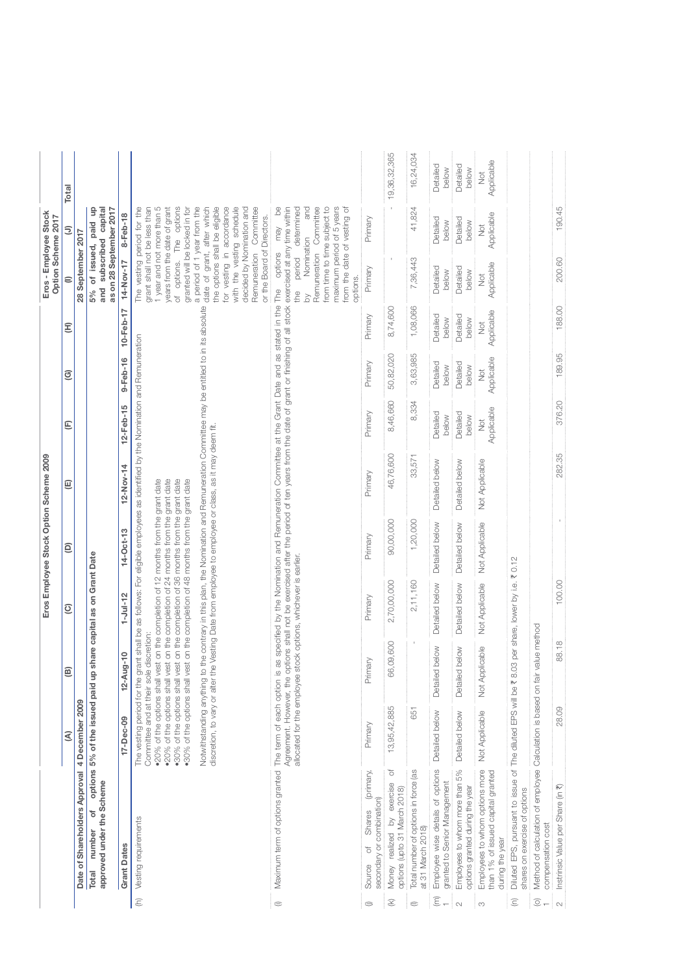|                         |                                                                                                  |                                                                                                                                                                                                                                                                                                                                                                                             |                     |                                   | Eros Employee Stock Option Scheme 2009 |                                                                                                                                                                                                                                                                                                                                                                               |                   |                        |                   | Eros - Employee Stock<br>Option Scheme 2017                                                                                                                                                                                                                                                                                                                                                                             |                                     |                        |
|-------------------------|--------------------------------------------------------------------------------------------------|---------------------------------------------------------------------------------------------------------------------------------------------------------------------------------------------------------------------------------------------------------------------------------------------------------------------------------------------------------------------------------------------|---------------------|-----------------------------------|----------------------------------------|-------------------------------------------------------------------------------------------------------------------------------------------------------------------------------------------------------------------------------------------------------------------------------------------------------------------------------------------------------------------------------|-------------------|------------------------|-------------------|-------------------------------------------------------------------------------------------------------------------------------------------------------------------------------------------------------------------------------------------------------------------------------------------------------------------------------------------------------------------------------------------------------------------------|-------------------------------------|------------------------|
|                         |                                                                                                  | દ                                                                                                                                                                                                                                                                                                                                                                                           | ₾                   | ହ                                 | Θ                                      | ⊕                                                                                                                                                                                                                                                                                                                                                                             | Ε                 | ៙                      | E                 | €                                                                                                                                                                                                                                                                                                                                                                                                                       | Ξ                                   | Total                  |
|                         | Date of Shareholders Approval 4 December 2009                                                    |                                                                                                                                                                                                                                                                                                                                                                                             |                     |                                   |                                        |                                                                                                                                                                                                                                                                                                                                                                               |                   |                        |                   | 28 September 2017                                                                                                                                                                                                                                                                                                                                                                                                       |                                     |                        |
|                         | approved under the Scheme<br>ŏ<br>number<br>Total                                                | options 5% of the issued paid up                                                                                                                                                                                                                                                                                                                                                            |                     | share capital as on Grant Date    |                                        |                                                                                                                                                                                                                                                                                                                                                                               |                   |                        |                   | 5% of issued, paid up<br>as on 28 September 2017<br>subscribed<br>and                                                                                                                                                                                                                                                                                                                                                   | capital                             |                        |
|                         | <b>Grant Dates</b>                                                                               | 17-Dec-09                                                                                                                                                                                                                                                                                                                                                                                   | $12 - Aug - 10$     | $1 -$ Jul-12                      | $14 - Oct - 13$                        | $12-Nov-14$                                                                                                                                                                                                                                                                                                                                                                   | $12 - Feb - 15$   | $9-Feb-16$             | $10 - Feb - 17$   | 14-Nov-17                                                                                                                                                                                                                                                                                                                                                                                                               | 8-Feb-18                            |                        |
| $\widehat{\epsilon}$    | Vesting requirements                                                                             | .20% of the options shall vest on the completion of 24 months from the grant date<br>.30% of the options shall vest on the completion of 36 months from the grant date<br>•30% of the options shall vest on the completion of 48 months from the grant date<br>.20% of the options shall vest on the completion of 12 months from the grant date<br>Committee and at their sole discretion: |                     |                                   |                                        | Notwithstanding anything to the contrary in this plan, the Nomination and Remuneration Committee may be entitled to in its absolute<br>The vesting period for the grant shall be as follows: For eligible employees as identified by the Nomination and Remuneration<br>discretion, to vary or alter the Vesting Date from employee to employee or class, as it may deem fit. |                   |                        |                   | grant shall not be less than<br>1 year and not more than 5<br>of options. The options<br>granted will be locked in for<br>a period of 1 year from the<br>date of grant, after which<br>the options shall be eligible<br>for vesting in accordance<br>with the vesting schedule<br>decided by Nomination and<br>The vesting period for the<br>years from the date of grant<br>or the Board of Directors.<br>Remuneration | Committee                           |                        |
| $\oplus$                | Maximum term of options granted                                                                  | allocated for the employee stock options, whichever is earlier.<br>The term of each option is                                                                                                                                                                                                                                                                                               |                     |                                   |                                        | Agreement. However, the options shall not be exercised after the period of ten years from the date of grant or finishing of all stock exercised at any time within<br>as specified by the Nomination and Remuneration Committee at the Grant Date and as stated in the                                                                                                        |                   |                        |                   | from time to time subject to<br>Remuneration Committee<br>maximum period of 5 years<br>from the date of vesting of<br>Nomination<br>options<br>period<br>options.<br>The<br>the<br>$\geq$                                                                                                                                                                                                                               | $\beta$<br>determined<br>and<br>may |                        |
| ⊜                       | (primary,<br>secondary or combination)<br>Shares<br>$\overline{\circ}$<br>Source                 | Primary                                                                                                                                                                                                                                                                                                                                                                                     | Primary             | Primary                           | Primary                                | Primary                                                                                                                                                                                                                                                                                                                                                                       | Primary           | Primary                | Primary           | Primary                                                                                                                                                                                                                                                                                                                                                                                                                 | Primary                             |                        |
| $\widehat{\mathcal{E}}$ | đ<br>Money realized by exercise<br>options (upto 31 March 2018)                                  | 13,95,42,885                                                                                                                                                                                                                                                                                                                                                                                | 09,600<br>66        | 2,70,00,000                       | 90,00,000                              | 46,76,600                                                                                                                                                                                                                                                                                                                                                                     | 8,46,660          | 50,82,020              | 8,74,600          |                                                                                                                                                                                                                                                                                                                                                                                                                         |                                     | 19,36,32,365           |
| €                       | Total number of options in force (as<br>at 31 March 2018)                                        | 651                                                                                                                                                                                                                                                                                                                                                                                         |                     | 2,11,160                          | 1,20,000                               | 33,571                                                                                                                                                                                                                                                                                                                                                                        | 8,334             | 3,63,985               | 1,08,066          | 7,36,443                                                                                                                                                                                                                                                                                                                                                                                                                | 41,824                              | 16,24,034              |
| $\widehat{\epsilon}$    | Employee wise details of options<br>granted to Senior Management                                 | Detailed below                                                                                                                                                                                                                                                                                                                                                                              | below<br>Detailed   | Detailed below                    | Detailed below                         | Detailed below                                                                                                                                                                                                                                                                                                                                                                | Detailed<br>below | Detailed<br>below      | Detailed<br>below | Detailed<br>below                                                                                                                                                                                                                                                                                                                                                                                                       | Detailed<br>below                   | Detailed<br>below      |
| $\sim$                  | Employees to whom more than 5%<br>options granted during the year                                | Detailed below                                                                                                                                                                                                                                                                                                                                                                              | below<br>Detailed   | Detailed below                    | Detailed below                         | Detailed below                                                                                                                                                                                                                                                                                                                                                                | Detailed<br>below | Detailed<br>below      | Detailed<br>below | Detailed<br>below                                                                                                                                                                                                                                                                                                                                                                                                       | Detailed<br>below                   | Detailed<br>below      |
| S                       | Employees to whom options more<br>than 1% of issued capital granted<br>during the year           | Not Applicable                                                                                                                                                                                                                                                                                                                                                                              | licable<br>Not Appl | Not Applicable                    | Not Applicable                         | Not Applicable                                                                                                                                                                                                                                                                                                                                                                | Applicable<br>70K | Applicable<br><b>D</b> | Applicable<br>Þ   | Applicable<br><b>Not</b>                                                                                                                                                                                                                                                                                                                                                                                                | Applicable<br>ğ                     | Applicable<br><b>Z</b> |
| Ē                       | Diluted EPS, pursuant to issue of The diluted EPS will be ₹ 8.0<br>shares on exercise of options |                                                                                                                                                                                                                                                                                                                                                                                             |                     | 3 per share, lower by i.e. ₹ 0.12 |                                        |                                                                                                                                                                                                                                                                                                                                                                               |                   |                        |                   |                                                                                                                                                                                                                                                                                                                                                                                                                         |                                     |                        |
| $\widehat{\odot}$       | Method of calculation of employee Calculation is based on fair value method<br>compensation cost |                                                                                                                                                                                                                                                                                                                                                                                             |                     |                                   |                                        |                                                                                                                                                                                                                                                                                                                                                                               |                   |                        |                   |                                                                                                                                                                                                                                                                                                                                                                                                                         |                                     |                        |
| $\mathbb{C} \mathbb{C}$ | Instrinsic Value per Share (in <a></a>                                                           | 28.09                                                                                                                                                                                                                                                                                                                                                                                       | 88.18               | 100.00                            |                                        | 282.35                                                                                                                                                                                                                                                                                                                                                                        | 376.20            | 189.95                 | 188.00            | 200.60                                                                                                                                                                                                                                                                                                                                                                                                                  | 190.45                              |                        |